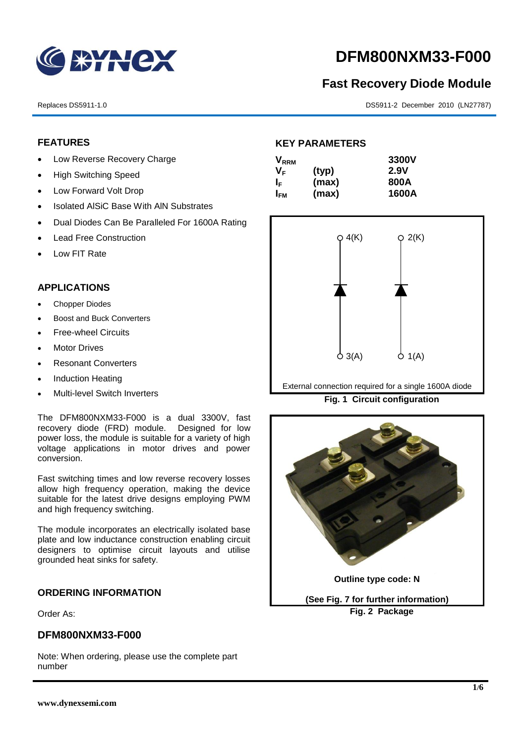

# **DFM800NXM33-F000**

# **Fast Recovery Diode Module**

Replaces DS5911-1.0 DS5911-2 December 2010 (LN27787)

## **FEATURES**

- Low Reverse Recovery Charge
- High Switching Speed
- Low Forward Volt Drop
- Isolated AISiC Base With AIN Substrates
- Dual Diodes Can Be Paralleled For 1600A Rating
- Lead Free Construction
- Low FIT Rate

## **APPLICATIONS**

- Chopper Diodes
- Boost and Buck Converters
- **•** Free-wheel Circuits
- Motor Drives
- Resonant Converters
- Induction Heating
- Multi-level Switch Inverters

The DFM800NXM33-F000 is a dual 3300V, fast recovery diode (FRD) module. Designed for low power loss, the module is suitable for a variety of high voltage applications in motor drives and power conversion.

Fast switching times and low reverse recovery losses allow high frequency operation, making the device suitable for the latest drive designs employing PWM and high frequency switching.

The module incorporates an electrically isolated base plate and low inductance construction enabling circuit designers to optimise circuit layouts and utilise grounded heat sinks for safety.

#### **ORDERING INFORMATION**

Order As:

#### **DFM800NXM33-F000**

Note: When ordering, please use the complete part number

## **KEY PARAMETERS**

| $\mathsf{V}_{\mathsf{RRM}}$ |       | 3300V |
|-----------------------------|-------|-------|
| VF.                         | (typ) | 2.9V  |
| ΙF                          | (max) | 800A  |
| I <sub>FМ</sub>             | (max) | 1600A |



External connection required for a single 1600A diode

**Fig. 1 Circuit configuration**



**Fig. 2 Package**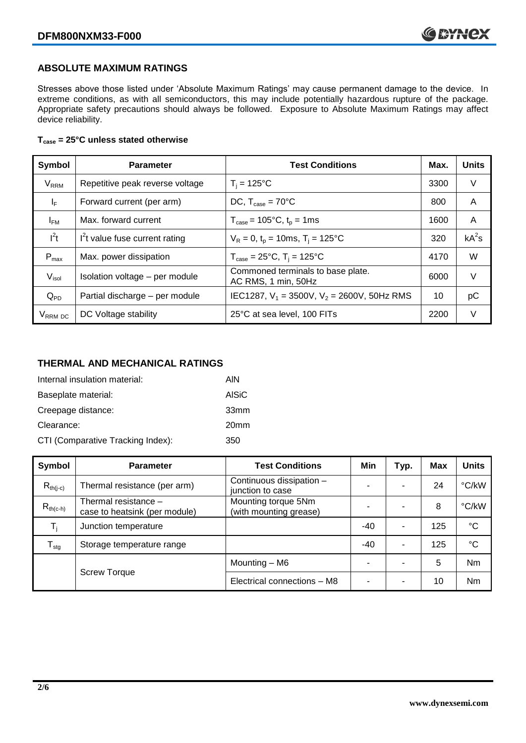#### **ABSOLUTE MAXIMUM RATINGS**

Stresses above those listed under 'Absolute Maximum Ratings' may cause permanent damage to the device. In extreme conditions, as with all semiconductors, this may include potentially hazardous rupture of the package. Appropriate safety precautions should always be followed. Exposure to Absolute Maximum Ratings may affect device reliability.

#### **Tcase = 25°C unless stated otherwise**

| Symbol                 | <b>Parameter</b>                | <b>Test Conditions</b>                                   | Max. | <b>Units</b> |
|------------------------|---------------------------------|----------------------------------------------------------|------|--------------|
| <b>V<sub>RRM</sub></b> | Repetitive peak reverse voltage | $T_i = 125$ °C                                           | 3300 | V            |
| $I_F$                  | Forward current (per arm)       | DC, $T_{case} = 70^{\circ}$ C                            |      | A            |
| $I_{FM}$               | Max. forward current            | $T_{\text{case}} = 105^{\circ}C, t_{p} = 1ms$            | 1600 | A            |
| $I^2t$                 | $I2t$ value fuse current rating | $V_R = 0$ , $t_p = 10$ ms, $T_i = 125$ °C                | 320  | $kA^2s$      |
| $P_{\text{max}}$       | Max. power dissipation          | $T_{\text{case}} = 25^{\circ}C$ , $T_i = 125^{\circ}C$   | 4170 | W            |
| $V_{\sf isol}$         | Isolation voltage - per module  | Commoned terminals to base plate.<br>AC RMS, 1 min, 50Hz | 6000 | $\vee$       |
| $Q_{PD}$               | Partial discharge - per module  | IEC1287, $V_1$ = 3500V, $V_2$ = 2600V, 50Hz RMS          | 10   | рC           |
| V <sub>RRM</sub> DC    | DC Voltage stability            | 25°C at sea level, 100 FITs                              | 2200 | V            |

# **THERMAL AND MECHANICAL RATINGS**

| Internal insulation material:     | AIN              |
|-----------------------------------|------------------|
| Baseplate material:               | AISiC            |
| Creepage distance:                | 33mm             |
| Clearance:                        | 20 <sub>mm</sub> |
| CTI (Comparative Tracking Index): | 350              |

| Symbol                     | <b>Parameter</b>                                                                                       | <b>Test Conditions</b>                       | Min | Typ. | Max | <b>Units</b>    |
|----------------------------|--------------------------------------------------------------------------------------------------------|----------------------------------------------|-----|------|-----|-----------------|
| $R_{th(i-c)}$              | Thermal resistance (per arm)                                                                           | Continuous dissipation -<br>junction to case | -   |      | 24  | °C/kW           |
| $R_{th(c-h)}$              | Mounting torque 5Nm<br>Thermal resistance -<br>(with mounting grease)<br>case to heatsink (per module) |                                              |     |      | 8   | °C/kW           |
| T,                         | Junction temperature                                                                                   |                                              | -40 | ۰    | 125 | $\rm ^{\circ}C$ |
| ${\mathsf T}_{\text{stg}}$ | Storage temperature range                                                                              |                                              | -40 | ۰    | 125 | $^{\circ}C$     |
|                            | <b>Screw Torque</b>                                                                                    | Mounting - M6                                | ۰   |      | 5   | <b>Nm</b>       |
|                            |                                                                                                        | Electrical connections - M8                  | ۰   |      | 10  | Nm              |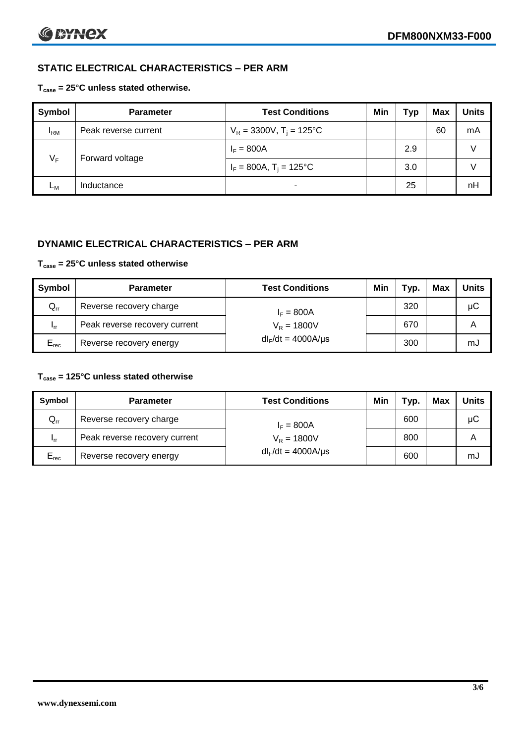# **STATIC ELECTRICAL CHARACTERISTICS – PER ARM**

#### **Tcase = 25°C unless stated otherwise.**

| <b>Symbol</b> | <b>Parameter</b>     | <b>Test Conditions</b>                 | Min | Typ | Max | <b>Units</b> |
|---------------|----------------------|----------------------------------------|-----|-----|-----|--------------|
| $I_{\rm RM}$  | Peak reverse current | $V_R = 3300V$ , T <sub>i</sub> = 125°C |     |     | 60  | mA           |
| $V_F$         | Forward voltage      | $I_F = 800A$                           |     | 2.9 |     |              |
|               |                      | $I_F = 800A$ , $T_i = 125^{\circ}C$    |     | 3.0 |     |              |
| Lм            | Inductance           | $\blacksquare$                         |     | 25  |     | nH           |

#### **DYNAMIC ELECTRICAL CHARACTERISTICS – PER ARM**

#### **Tcase = 25°C unless stated otherwise**

| Symbol          | <b>Parameter</b>                               | <b>Test Conditions</b>  | Min | Тур. | Max | <b>Units</b> |
|-----------------|------------------------------------------------|-------------------------|-----|------|-----|--------------|
| $Q_{rr}$        | Reverse recovery charge                        | $I_F = 800A$            |     | 320  |     | μC           |
| 1 <sub>rr</sub> | Peak reverse recovery current<br>$V_R = 1800V$ |                         |     | 670  |     | A            |
| $E_{rec}$       | Reverse recovery energy                        | $dl_F/dt = 4000A/\mu s$ |     | 300  |     | mJ           |

#### **Tcase = 125°C unless stated otherwise**

| Symbol                     | <b>Parameter</b>                        | <b>Test Conditions</b>  | Min | Typ. | Max | Units |
|----------------------------|-----------------------------------------|-------------------------|-----|------|-----|-------|
| $\mathsf{Q}_{\mathsf{rr}}$ | Reverse recovery charge<br>$I_F = 800A$ |                         |     | 600  |     | μC    |
| - Irr                      | Peak reverse recovery current           | $V_R = 1800V$           |     | 800  |     | Α     |
| $E_{rec}$                  | Reverse recovery energy                 | $dl_F/dt = 4000A/\mu s$ |     | 600  |     | mJ    |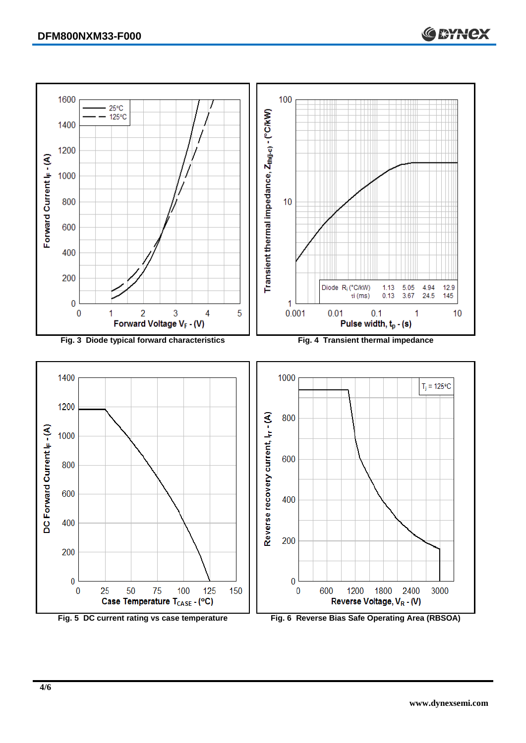

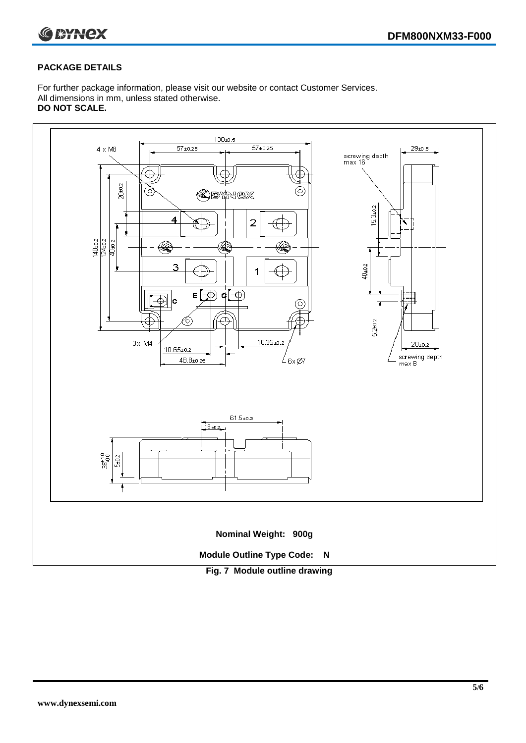

#### **PACKAGE DETAILS**

For further package information, please visit our website or contact Customer Services. All dimensions in mm, unless stated otherwise. **DO NOT SCALE.**